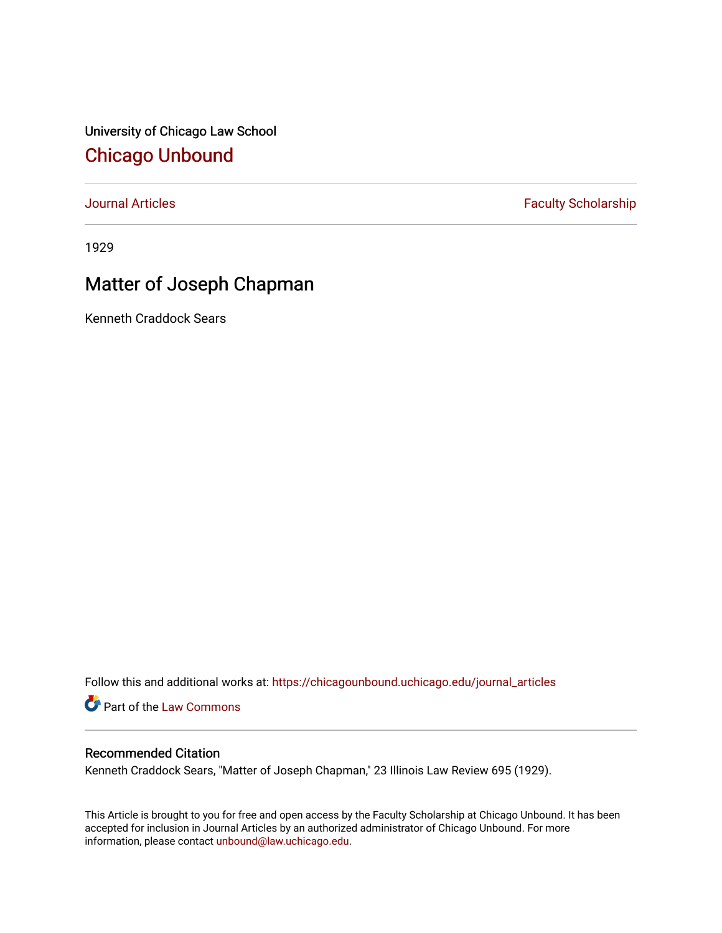University of Chicago Law School [Chicago Unbound](https://chicagounbound.uchicago.edu/)

[Journal Articles](https://chicagounbound.uchicago.edu/journal_articles) **Faculty Scholarship Faculty Scholarship** 

1929

# Matter of Joseph Chapman

Kenneth Craddock Sears

Follow this and additional works at: [https://chicagounbound.uchicago.edu/journal\\_articles](https://chicagounbound.uchicago.edu/journal_articles?utm_source=chicagounbound.uchicago.edu%2Fjournal_articles%2F9246&utm_medium=PDF&utm_campaign=PDFCoverPages) 

Part of the [Law Commons](http://network.bepress.com/hgg/discipline/578?utm_source=chicagounbound.uchicago.edu%2Fjournal_articles%2F9246&utm_medium=PDF&utm_campaign=PDFCoverPages)

## Recommended Citation

Kenneth Craddock Sears, "Matter of Joseph Chapman," 23 Illinois Law Review 695 (1929).

This Article is brought to you for free and open access by the Faculty Scholarship at Chicago Unbound. It has been accepted for inclusion in Journal Articles by an authorized administrator of Chicago Unbound. For more information, please contact [unbound@law.uchicago.edu](mailto:unbound@law.uchicago.edu).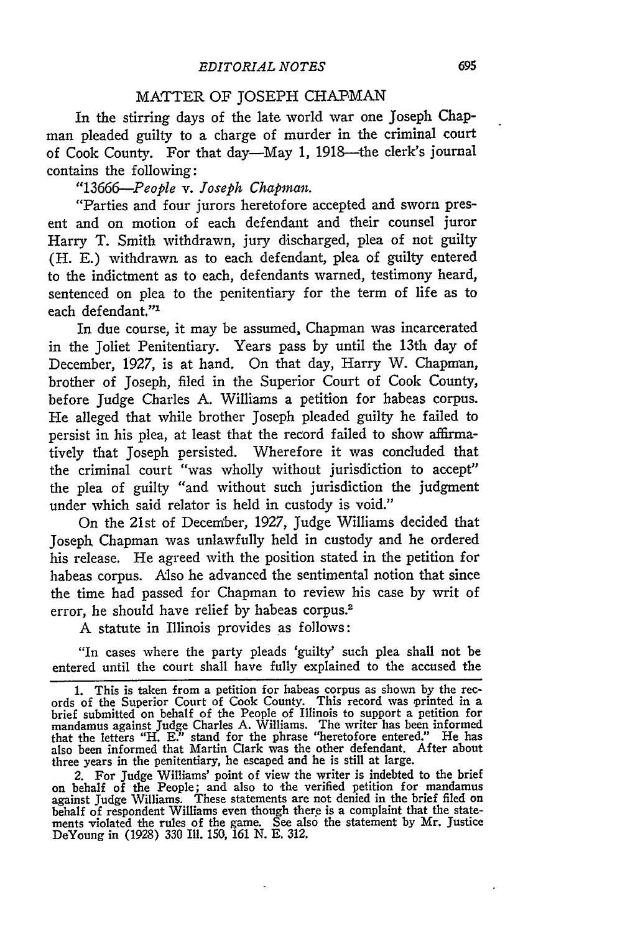#### MATTER OF JOSEPH CHAPMAN

In the stirring days of the late world war one Joseph Chapman pleaded guilty to a charge of murder in the criminal court of Cook County. For that day—May 1, 1918—the clerk's journal contains the following:

*"13666-People v. Joseph Chapman.*

"Parties and four jurors heretofore accepted and sworn present and on motion of each defendant and their counsel juror Harry T. Smith withdrawn, jury discharged, plea of not guilty (H. E.) withdrawn as to each defendant, plea of guilty entered to the indictment as to each, defendants warned, testimony heard, sentenced on plea to the penitentiary for the term of life as to each defendant."'

In due course, it may be assumed, Chapman was incarcerated in the Joliet Penitentiary. Years pass **by** until the 13th day of December, 1927, is at hand. On that day, Harry W. Chapman, brother of Joseph, filed in the Superior Court of Cook County, before Judge Charles A. Williams a petition for habeas corpus. He alleged that while brother Joseph pleaded guilty he failed to persist in his plea, at least that the record failed to show affirmatively that Joseph persisted. Wherefore it was concluded that the criminal court "was wholly without jurisdiction to accept" the plea of guilty "and without such jurisdiction the judgment under which said relator is held in custody is void."

On the 21st of December, 1927, Judge Williams decided that Joseph Chapman was unlawfully held in custody and he ordered his release. He agreed with the position stated in the petition for habeas corpus. Also he advanced the sentimental notion that since the time had passed for Chapman to review his case **by** writ of error, he should have relief **by** habeas corpus.<sup>2</sup>

A statute in Illinois provides as follows:

"In cases where the party pleads 'guilty' such plea shall not be entered until the court shall have fully explained to the accused the

2. For Judge Williams' point of view the writer is indebted to the brief on behalf of the People; and also to the verified petition for mandamus against Judge Williams. These statements are not denied in the brief filed or behalf of respondent Williams even though there is a complaint that the statements violated the rules of the game. See also the statement **by** Mr. Justice DeYoung in (1928) 330 **Ill.** 150, 161 **N. E.** 312.

<sup>1.</sup> This is taken from a petition for habeas corpus as shown **by** the records of the Superior Court of Cook County. This record was printed in a brief submitted on behalf of the People of Illinois to support a petition for mandamus against Judge Charles **A.** Williams. The writer has been informed that the letters "H. E." stand for the phrase "heretofore entered." He has also been informed that Martin Clark was the other defendant. After about three years in the penitentiary, he escaped and he is still at large.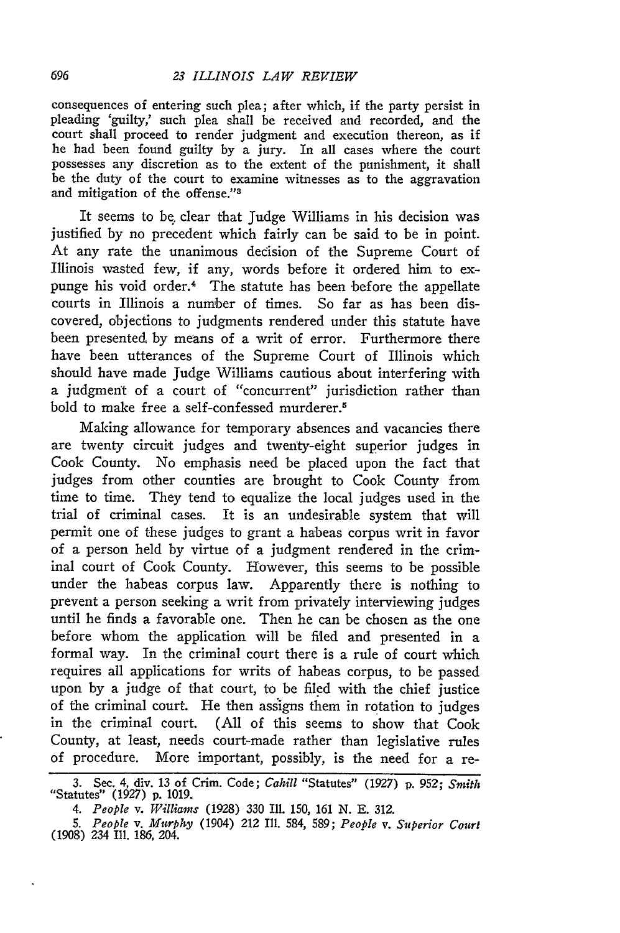consequences of entering such plea; after which, if the party persist in pleading 'guilty,' such plea shall be received and recorded, and the court shall proceed to render judgment and execution thereon, as if he had been found guilty **by** a jury. In all cases where the court possesses any discretion as to the extent of the punishment, it shall be the duty of the court to examine witnesses as to the aggravation and mitigation of the offense."<sup>3</sup>

It seems to **be.** clear that Judge Williams in his decision was justified **by** no precedent which fairly can be said to be in point. At any rate the unanimous decision of the Supreme Court of Illinois wasted few, if any, words before it ordered him to expunge his void order.4 The statute has been before the appellate courts in Illinois a number of times. So far as has been discovered, objections to judgments rendered under this statute have been presented **by** means of a writ of error. Furthermore there have been utterances of the Supreme Court of Illinois which should have made judge Williams cautious about interfering with a judgment of a court of "concurrent" jurisdiction rather than bold to make free a self-confessed murderer.<sup>5</sup>

Making allowance for temporary absences and vacancies there are twenty circuit judges and twenty-eight superior judges in Cook County. No emphasis need be placed upon the fact that judges from other counties are brought to Cook County from time to time. They tend to equalize the local judges used in the trial of criminal cases. It is an undesirable system that will permit one of these judges to grant a habeas corpus writ in favor of a person held **by** virtue of a judgment rendered in the criminal court of Cook County. However, this seems to be possible under the habeas corpus law. Apparently there is nothing to prevent a person seeking a writ from privately interviewing judges until he finds a favorable one. Then he can be chosen as the one before whom the application will be filed and presented in a formal way. In the criminal court there is a rule of court which requires all applications for writs of habeas corpus, to be passed upon **by** a judge of that court, to be **filed** with the chief justice of the criminal court. He then assigns them in rotation to judges in the criminal court. **(All** of this seems to show that Cook County, at least, needs court-made rather than legislative rules of procedure. More important, possibly, is the need for a **re-**

*4. People v. Williams* **(1928) 330** Ill. **150, 161 N. E. 312.**

**<sup>3.</sup>** Sec. 4, div. **13** of Crim. Code; *Cahill* "Statutes" **(1927) p. 952;** *Smith* "Statutes" **(1927) p. 1019.**

*<sup>5.</sup> People v. Murphy* (1904) 212 Ill. 584, **589;** *People v. Superior Court* **(1908)** 234 Ill. 186, 204.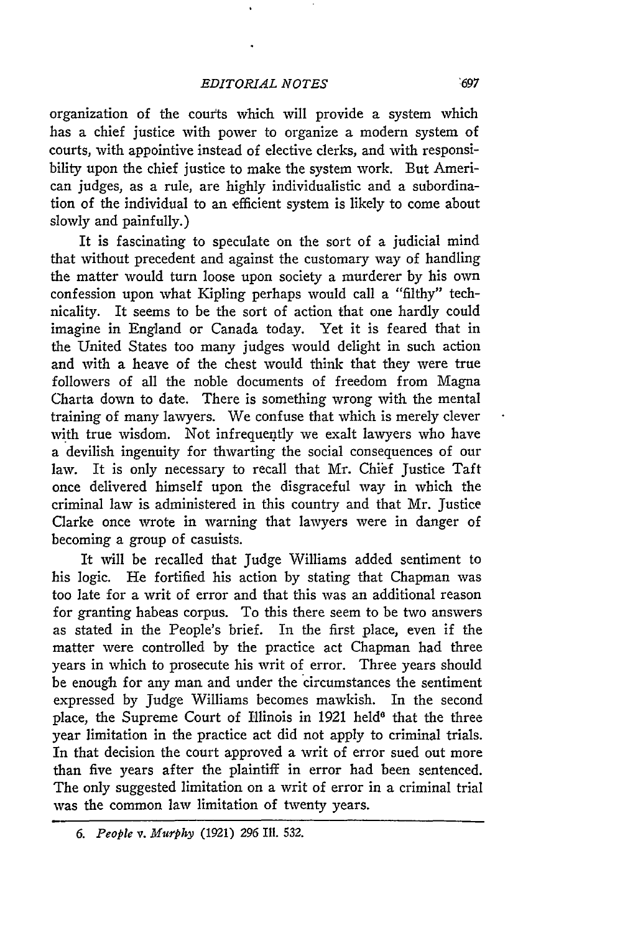#### *EDITORIAL NOTES*

organization of the courts which will provide a system which has a chief justice with power to organize a modern system of courts, with appointive instead of elective clerks, and with responsibility upon the chief justice to make the system work. But American judges, as a rule, are highly individualistic and a subordination of the individual to an efficient system is likely to come about slowly and painfully.)

It is fascinating to speculate on the sort of a judicial mind that without precedent and against the customary way of handling the matter would turn loose upon society a murderer **by** his own confession upon what Kipling perhaps would call a "filthy" technicality. It seems to be the sort of action that one hardly could imagine in England or Canada today. Yet it is feared that in the United States too many judges would delight in such action and with a heave of the chest would think that they were true followers of all the noble documents of freedom from Magna Charta down to date. There is something wrong with the mental training of many lawyers. We confuse that which is merely clever with true wisdom. Not infrequently we exalt lawyers who have a devilish ingenuity for thwarting the social consequences of our law. It is only necessary to recall that Mr. Chief Justice Taft once delivered himself upon the disgraceful way in which the criminal law is administered in this country and that Mr. Justice Clarke once wrote in warning that lawyers were in danger of becoming a group of casuists.

It will be recalled that Judge Williams added sentiment to his logic. He fortified his action **by** stating that Chapman was too late for a writ of error and that this was an additional reason for granting habeas corpus. To this there seem to be two answers as stated in the People's brief. In the first place, even if the matter were controlled **by** the practice act Chapman had three years in which to prosecute his writ of error. Three years should be enough for any man and under the circumstances the sentiment expressed **by** Judge Williams becomes mawkish. In the second place, the Supreme Court of Illinois in 1921 held' that the three year limitation in the practice act did not apply to criminal trials. In that decision the court approved a writ of error sued out more than five years after the plaintiff in error had been sentenced. The only suggested limitation on a writ of error in a criminal trial was the common law limitation of twenty years.

*<sup>6.</sup> People v. Murphy* (1921) *296* **IIl. 532.**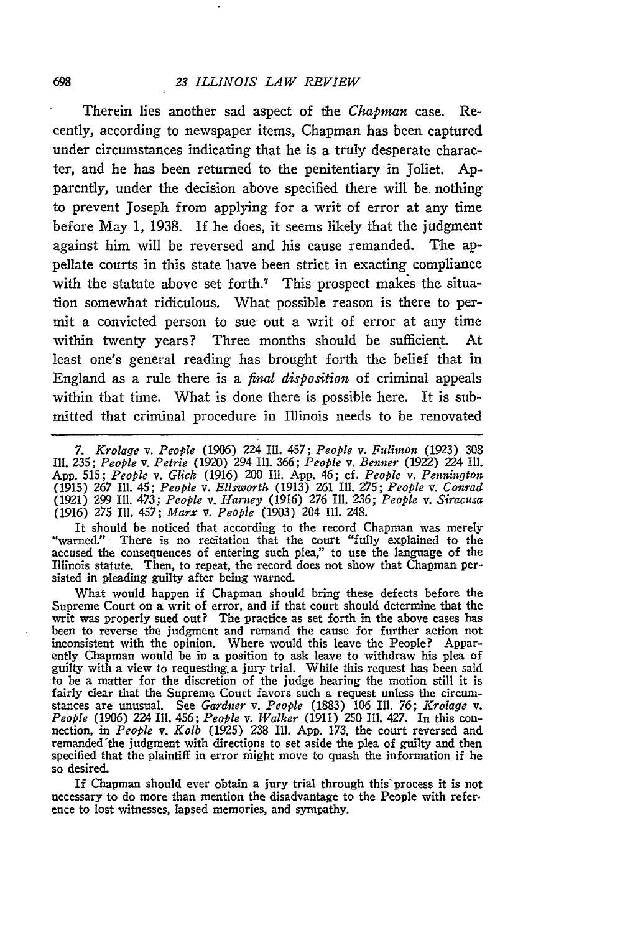#### *23 ILLINOIS LAW REVIEW*

Therein lies another sad aspect of the *Chapman* case. Recently, according to newspaper items, Chapman has been captured under circumstances indicating that he is a truly desperate character, and he has been returned to the penitentiary in Joliet. Apparently, under the decision above specified there will be. nothing to prevent Joseph from applying for a writ of error at any time before May 1, 1938. If he does, it seems likely that the judgment against him will be reversed and his cause remanded. The appellate courts in this state have been strict in exacting compliance with the statute above set forth.<sup>7</sup> This prospect makes the situation somewhat ridiculous. What possible reason is there to permit a convicted person to sue out a writ of error at any time within twenty years? Three months should be sufficient. At least one's general reading has brought forth the belief that in England as a rule there is a *final disposition* of criminal appeals within that time. What is done there is possible here. It is submitted that criminal procedure in Illinois needs to be renovated

*7. Krolage v. People* (1906) 224 Ill. 457; *People v. Fulimon* (1923) 308 Ill. 235; *People v. Petrie* (1920) 294 Ill. 366; *People v. Benner* (1922) 224 Ill. App. **515;** *People v. Glick* (1916) 200 Ill. App. 46; cf. *People v. Pennington* (1915) 267 Ill. 45; *People v. Ellsworth* (1913) 261 Ill. 275; *People v. Conrad* (1921) 299 Ill. 473; *People v. Harney* (1916) 276 Ill. 236; *People v. Siracusa* (1916) 275 Ill. 457; *Marx v. People* (1903) 204 Ill. 248.

It should be noticed that according to the record Chapman was merely "warned." There is no recitation that the court "fully explained to the accused the consequences of entering such plea," to use the language of the Illinois statute. Then, to repeat, the record does not show that Chapman persisted in pleading guilty after being warned.

What would happen if Chapman should bring these defects before the Supreme Court on a writ of error, and if that court should determine that the writ was properly sued out? The practice as set forth in the above cases has been to reverse the judgment and remand the cause for further action not inconsistent with the opinion. Where would this leave the People? Apparently Chapman would be in a position to ask leave to withdraw his plea of guilty with a view to requesting a jury trial. While this request has been said to be a matter for the discretion of the judge hearing the motion still it is fairly clear that the Supreme Court favors such a request unless the circumstances are unusual. See *Gardner v. People* (1883) **106** Ill. 76; *Krolage v. People* (1906) 224 Ill. 456; *People v. Walker* (1911) 250 Ill. 427. In this connection, in *People v. Kolb* (1925) 238 Ill. App. 173, the court reversed and remanded'the judgment with directions to set aside the plea of guilty and then specified that the plaintiff in error might move to quash the information if he so desired.

If Chapman should ever obtain a jury trial through this process it is not necessary to do more than mention the disadvantage to the People with refer. ence to lost witnesses, lapsed memories, and sympathy.